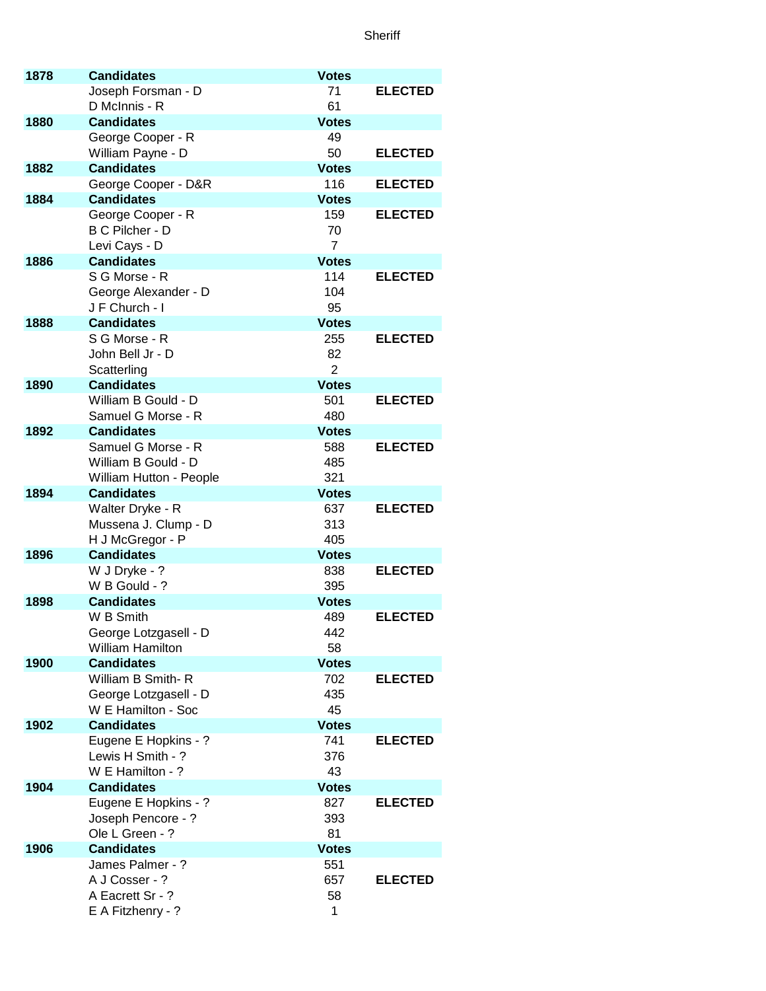## **Sheriff**

| 1878 | <b>Candidates</b>                            | <b>Votes</b>        |                |
|------|----------------------------------------------|---------------------|----------------|
|      | Joseph Forsman - D                           | 71                  | <b>ELECTED</b> |
|      | D McInnis - R                                | 61                  |                |
| 1880 | <b>Candidates</b>                            | <b>Votes</b>        |                |
|      | George Cooper - R                            | 49                  |                |
|      | William Payne - D                            | 50                  | <b>ELECTED</b> |
| 1882 | <b>Candidates</b>                            | <b>Votes</b>        |                |
|      | George Cooper - D&R                          | 116                 | <b>ELECTED</b> |
| 1884 | <b>Candidates</b><br>George Cooper - R       | <b>Votes</b><br>159 | <b>ELECTED</b> |
|      | B C Pilcher - D                              | 70                  |                |
|      | Levi Cays - D                                | $\overline{7}$      |                |
| 1886 | <b>Candidates</b>                            | <b>Votes</b>        |                |
|      | S G Morse - R                                | 114                 | <b>ELECTED</b> |
|      | George Alexander - D                         | 104                 |                |
|      | J F Church - I                               | 95                  |                |
| 1888 | <b>Candidates</b>                            | <b>Votes</b>        |                |
|      | S G Morse - R                                | 255                 | <b>ELECTED</b> |
|      | John Bell Jr - D                             | 82                  |                |
|      | Scatterling                                  | $\overline{2}$      |                |
| 1890 | <b>Candidates</b>                            | <b>Votes</b>        |                |
|      | William B Gould - D                          | 501                 | <b>ELECTED</b> |
|      | Samuel G Morse - R                           | 480                 |                |
| 1892 | <b>Candidates</b>                            | <b>Votes</b>        |                |
|      | Samuel G Morse - R                           | 588                 | <b>ELECTED</b> |
|      | William B Gould - D                          | 485<br>321          |                |
| 1894 | William Hutton - People<br><b>Candidates</b> | <b>Votes</b>        |                |
|      | Walter Dryke - R                             | 637                 | <b>ELECTED</b> |
|      | Mussena J. Clump - D                         | 313                 |                |
|      | H J McGregor - P                             | 405                 |                |
| 1896 | <b>Candidates</b>                            | <b>Votes</b>        |                |
|      | W J Dryke - ?                                | 838                 | <b>ELECTED</b> |
|      | W B Gould - ?                                | 395                 |                |
| 1898 | <b>Candidates</b>                            | <b>Votes</b>        |                |
|      | W B Smith                                    | 489                 | <b>ELECTED</b> |
|      | George Lotzgasell - D                        | 442                 |                |
|      | <b>William Hamilton</b>                      | 58                  |                |
| 1900 | <b>Candidates</b>                            | <b>Votes</b>        |                |
|      | William B Smith-R<br>George Lotzgasell - D   | 702<br>435          | <b>ELECTED</b> |
|      | W E Hamilton - Soc                           | 45                  |                |
| 1902 | <b>Candidates</b>                            | <b>Votes</b>        |                |
|      | Eugene E Hopkins - ?                         | 741                 | <b>ELECTED</b> |
|      | Lewis H Smith - ?                            | 376                 |                |
|      | W E Hamilton - ?                             | 43                  |                |
| 1904 | <b>Candidates</b>                            | <b>Votes</b>        |                |
|      | Eugene E Hopkins - ?                         | 827                 | <b>ELECTED</b> |
|      | Joseph Pencore - ?                           | 393                 |                |
|      | Ole L Green - ?                              | 81                  |                |
| 1906 | <b>Candidates</b>                            | <b>Votes</b>        |                |
|      | James Palmer - ?                             | 551                 |                |
|      | A J Cosser - ?                               | 657                 | <b>ELECTED</b> |
|      | A Eacrett Sr - ?                             | 58<br>1             |                |
|      | E A Fitzhenry - ?                            |                     |                |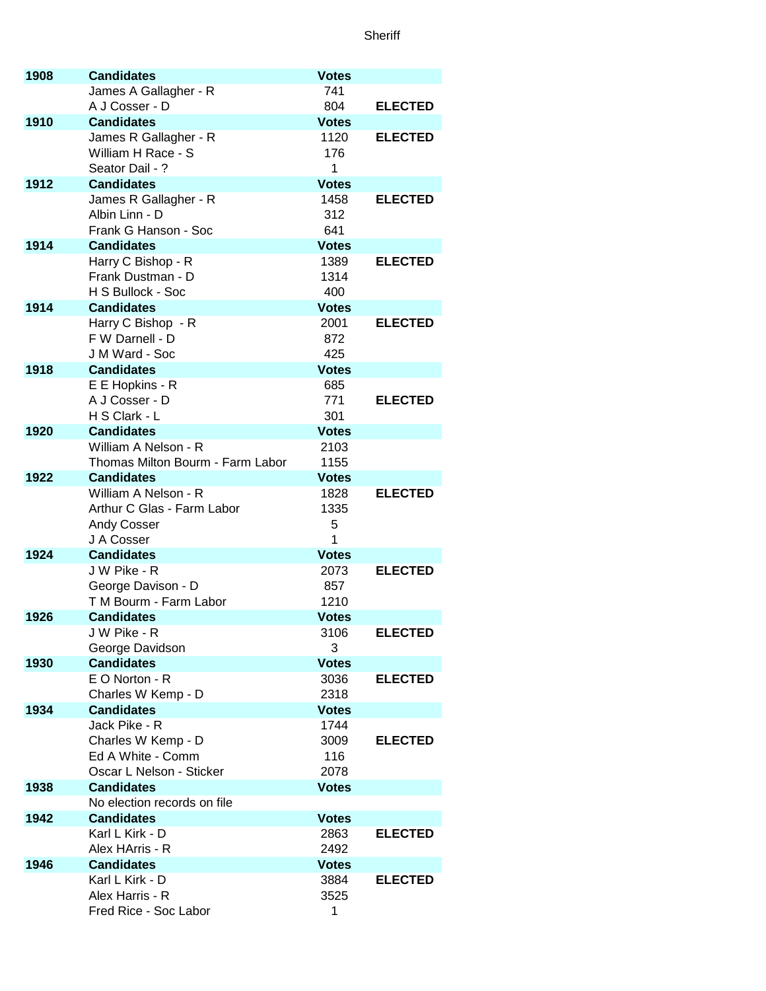**Sheriff** 

| 1908 | <b>Candidates</b>                          | <b>Votes</b>         |                |
|------|--------------------------------------------|----------------------|----------------|
|      | James A Gallagher - R                      | 741                  |                |
|      | A J Cosser - D                             | 804                  | <b>ELECTED</b> |
| 1910 | <b>Candidates</b>                          | <b>Votes</b>         |                |
|      | James R Gallagher - R                      | 1120                 | <b>ELECTED</b> |
|      | William H Race - S                         | 176                  |                |
| 1912 | Seator Dail - ?                            | 1                    |                |
|      | <b>Candidates</b><br>James R Gallagher - R | <b>Votes</b><br>1458 | <b>ELECTED</b> |
|      | Albin Linn - D                             | 312                  |                |
|      | Frank G Hanson - Soc                       | 641                  |                |
| 1914 | <b>Candidates</b>                          | <b>Votes</b>         |                |
|      | Harry C Bishop - R                         | 1389                 | <b>ELECTED</b> |
|      | Frank Dustman - D                          | 1314                 |                |
|      | H S Bullock - Soc                          | 400                  |                |
| 1914 | <b>Candidates</b>                          | <b>Votes</b>         |                |
|      | Harry C Bishop - R                         | 2001                 | <b>ELECTED</b> |
|      | F W Darnell - D                            | 872                  |                |
|      | J M Ward - Soc                             | 425                  |                |
| 1918 | <b>Candidates</b>                          | <b>Votes</b>         |                |
|      | E E Hopkins - R                            | 685                  |                |
|      | A J Cosser - D                             | 771                  | <b>ELECTED</b> |
|      | H S Clark - L                              | 301                  |                |
| 1920 | <b>Candidates</b>                          | <b>Votes</b>         |                |
|      | William A Nelson - R                       | 2103                 |                |
|      | Thomas Milton Bourm - Farm Labor           | 1155                 |                |
| 1922 | <b>Candidates</b><br>William A Nelson - R  | <b>Votes</b><br>1828 | <b>ELECTED</b> |
|      | Arthur C Glas - Farm Labor                 | 1335                 |                |
|      | <b>Andy Cosser</b>                         | 5                    |                |
|      | J A Cosser                                 | 1                    |                |
| 1924 | <b>Candidates</b>                          | <b>Votes</b>         |                |
|      | J W Pike - R                               | 2073                 | <b>ELECTED</b> |
|      | George Davison - D                         | 857                  |                |
|      | T M Bourm - Farm Labor                     | 1210                 |                |
| 1926 | <b>Candidates</b>                          | <b>Votes</b>         |                |
|      | J W Pike - R                               | 3106                 | <b>ELECTED</b> |
|      | George Davidson                            | 3                    |                |
| 1930 | <b>Candidates</b>                          | <b>Votes</b>         |                |
|      | E O Norton - R                             | 3036                 | <b>ELECTED</b> |
|      | Charles W Kemp - D                         | 2318                 |                |
| 1934 | <b>Candidates</b><br>Jack Pike - R         | <b>Votes</b>         |                |
|      |                                            | 1744                 |                |
|      | Charles W Kemp - D<br>Ed A White - Comm    | 3009<br>116          | <b>ELECTED</b> |
|      | Oscar L Nelson - Sticker                   | 2078                 |                |
| 1938 | <b>Candidates</b>                          | <b>Votes</b>         |                |
|      | No election records on file                |                      |                |
| 1942 | <b>Candidates</b>                          | <b>Votes</b>         |                |
|      | Karl L Kirk - D                            | 2863                 | <b>ELECTED</b> |
|      | Alex HArris - R                            | 2492                 |                |
| 1946 | <b>Candidates</b>                          | <b>Votes</b>         |                |
|      | Karl L Kirk - D                            | 3884                 | <b>ELECTED</b> |
|      | Alex Harris - R                            | 3525                 |                |
|      | Fred Rice - Soc Labor                      | 1                    |                |